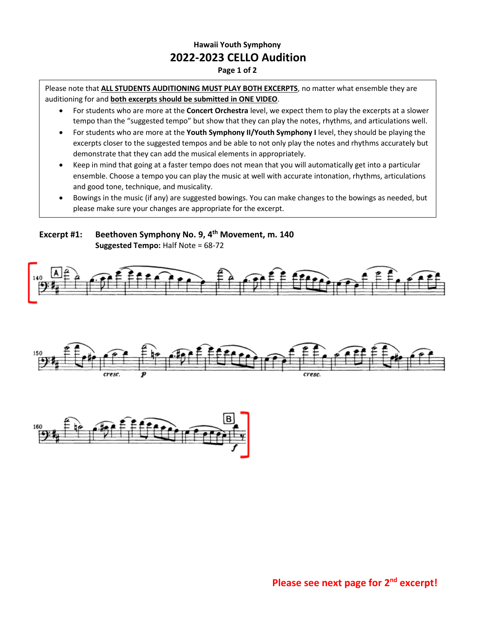## **Hawaii Youth Symphony 2022-2023 CELLO Audition**

**Page 1 of 2**

Please note that **ALL STUDENTS AUDITIONING MUST PLAY BOTH EXCERPTS**, no matter what ensemble they are auditioning for and **both excerpts should be submitted in ONE VIDEO**.

- For students who are more at the **Concert Orchestra** level, we expect them to play the excerpts at a slower tempo than the "suggested tempo" but show that they can play the notes, rhythms, and articulations well.
- For students who are more at the **Youth Symphony II/Youth Symphony I** level, they should be playing the excerpts closer to the suggested tempos and be able to not only play the notes and rhythms accurately but demonstrate that they can add the musical elements in appropriately.
- Keep in mind that going at a faster tempo does not mean that you will automatically get into a particular ensemble. Choose a tempo you can play the music at well with accurate intonation, rhythms, articulations and good tone, technique, and musicality.
- Bowings in the music (if any) are suggested bowings. You can make changes to the bowings as needed, but please make sure your changes are appropriate for the excerpt.

**Excerpt #1: Beethoven Symphony No. 9, 4 th Movement, m. 140 Suggested Tempo:** Half Note = 68-72

•